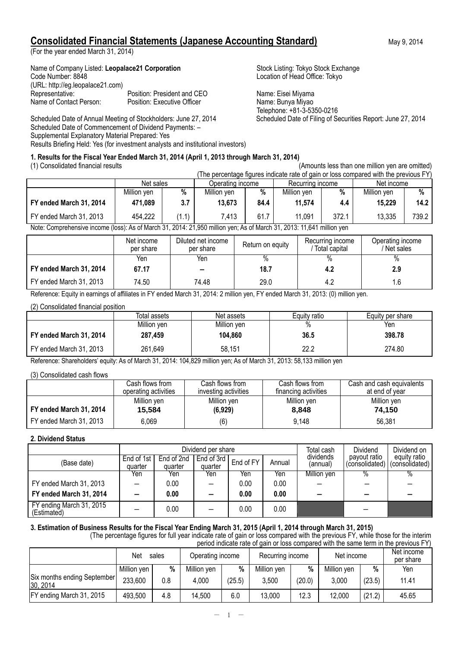## **Consolidated Financial Statements (Japanese Accounting Standard)** May 9, 2014

(For the year ended March 31, 2014)

Name of Company Listed: Leopalace21 Corporation Stock Listing: Tokyo Stock Exchange Code Number: 8848 Location of Head Office: Tokyo (URL: http://eg.leopalace21.com) Representative: Position: President and CEO Name: Eisei Miyama Name of Contact Person: Position: Executive Officer Name: Bunya Miyao

Scheduled Date of Annual Meeting of Stockholders: June 27, 2014 Scheduled Date of Filing of Securities Report: June 27, 2014 Scheduled Date of Commencement of Dividend Payments: – Supplemental Explanatory Material Prepared: Yes Results Briefing Held: Yes (for investment analysts and institutional investors)

Telephone: +81-3-5350-0216

## **1. Results for the Fiscal Year Ended March 31, 2014 (April 1, 2013 through March 31, 2014)**

(1) Consolidated financial results (Amounts less than one million yen are omitted)

|                              |              |            |                  |           |                  |           | (The percentage figures indicate rate of gain or loss compared with the previous FY) |       |
|------------------------------|--------------|------------|------------------|-----------|------------------|-----------|--------------------------------------------------------------------------------------|-------|
|                              | Net sales    |            | Operating income |           | Recurring income |           | Net income                                                                           |       |
|                              | Million yen  | %          | Million ven      | %         | Million ven      | %         | Million yen                                                                          | %     |
| FY ended March 31, 2014      | 471,089      | 3.7        | 13,673           | 84.4      | 11.574           | 4.4       | 15,229                                                                               | 14.2  |
| FY ended March 31, 2013<br>. | 454,222<br>. | (1.1)<br>. | 7.413            | 61.7<br>. | 11,091<br>.      | 372.1<br> | 13,335                                                                               | 739.2 |

Note: Comprehensive income (loss): As of March 31, 2014: 21,950 million yen; As of March 31, 2013: 11,641 million yen

|                         | Net income<br>per share | Diluted net income<br>per share | Return on equity | Recurring income<br>Total capital | Operating income<br>/ Net sales |
|-------------------------|-------------------------|---------------------------------|------------------|-----------------------------------|---------------------------------|
|                         | Yen                     | Yen                             | %                | %                                 | $\%$                            |
| FY ended March 31, 2014 | 67.17                   | $\overline{\phantom{0}}$        | 18.7             | 4.2                               | 2.9                             |
| FY ended March 31, 2013 | 74.50                   | 74.48                           | 29.0             | 4.2                               | 1.6                             |

Reference: Equity in earnings of affiliates in FY ended March 31, 2014: 2 million yen, FY ended March 31, 2013: (0) million yen.

### (2) Consolidated financial position

|                         | Total assets | Net assets  | Equity ratio | Equity per share |
|-------------------------|--------------|-------------|--------------|------------------|
|                         | Million yen  | Million yen | %            | Yen              |
| FY ended March 31, 2014 | 287.459      | 104.860     | 36.5         | 398.78           |
| FY ended March 31, 2013 | 261,649      | 58.151      | 22.2         | 274.80           |

Reference: Shareholders' equity: As of March 31, 2014: 104,829 million yen; As of March 31, 2013: 58,133 million yen

(3) Consolidated cash flows

|                         | Cash flows from      | Cash flows from .    | Cash flows from      | Cash and cash equivalents |
|-------------------------|----------------------|----------------------|----------------------|---------------------------|
|                         | operating activities | investing activities | financing activities | at end of vear            |
|                         | Million yen          | Million yen          | Million yen          | Million yen               |
| FY ended March 31, 2014 | 15,584               | (6,929)              | 8,848                | 74.150                    |
| FY ended March 31, 2013 | 6,069                | (6)                  | 9,148                | 56,381                    |

## **2. Dividend Status**

|                                         |                       |                       | Dividend per share    | Total cash | Dividend | Dividend on           |                                |                                |
|-----------------------------------------|-----------------------|-----------------------|-----------------------|------------|----------|-----------------------|--------------------------------|--------------------------------|
| (Base date)                             | End of 1st<br>quarter | End of 2nd<br>quarter | End of 3rd<br>quarter | End of FY  | Annual   | dividends<br>(annual) | payout ratio<br>(consolidated) | equity ratio<br>(consolidated) |
|                                         | Yen                   | Yen                   | Yen                   | Yen        | Yen      | Million yen           | $\%$                           |                                |
| FY ended March 31, 2013                 |                       | 0.00                  |                       | 0.00       | 0.00     |                       |                                |                                |
| FY ended March 31, 2014                 |                       | 0.00                  |                       | 0.00       | 0.00     |                       | -                              |                                |
| FY ending March 31, 2015<br>(Estimated) |                       | 0.00                  |                       | 0.00       | 0.00     |                       |                                |                                |

**3. Estimation of Business Results for the Fiscal Year Ending March 31, 2015 (April 1, 2014 through March 31, 2015)**

 (The percentage figures for full year indicate rate of gain or loss compared with the previous FY, while those for the interim period indicate rate of gain or loss compared with the same term in the previous FY)

|                                         | Net<br>sales |     | Operating income |        | Recurring income |        | Net income  |        | Net income<br>per share |
|-----------------------------------------|--------------|-----|------------------|--------|------------------|--------|-------------|--------|-------------------------|
|                                         | Million yen  | %   | Million yen      | %      | Million yen      | %      | Million yen | %      | Yen                     |
| Six months ending September<br>30, 2014 | 233,600      | 0.8 | 4.000            | (25.5) | 3,500            | (20.0) | 3,000       | (23.5) | 11.41                   |
| FY ending March 31, 2015                | 493,500      | 4.8 | 14,500           | 6.0    | 13,000           | 12.3   | 12,000      | (21.2) | 45.65                   |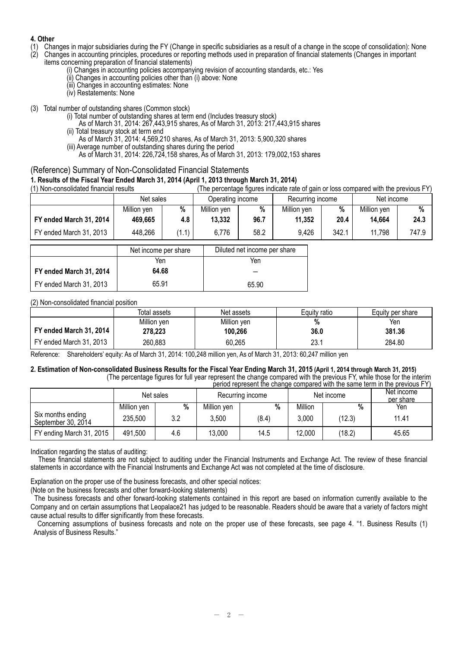## **4. Other**

- (1) Changes in major subsidiaries during the FY (Change in specific subsidiaries as a result of a change in the scope of consolidation): None (2) Changes in important (2) Changes in important
- (2) Changes in accounting principles, procedures or reporting methods used in preparation of financial statements (Changes in important items concerning preparation of financial statements)
	- (i) Changes in accounting policies accompanying revision of accounting standards, etc.: Yes
	- (ii) Changes in accounting policies other than (i) above: None
	- (iii) Changes in accounting estimates: None
	- (iv) Restatements: None
- (3) Total number of outstanding shares (Common stock)
	- (i) Total number of outstanding shares at term end (Includes treasury stock)
		- As of March 31, 2014: 267,443,915 shares, As of March 31, 2013: 217,443,915 shares (ii) Total treasury stock at term end
		- As of March 31, 2014: 4,569,210 shares, As of March 31, 2013: 5,900,320 shares
		- (iii) Average number of outstanding shares during the period
		- As of March 31, 2014: 226,724,158 shares, As of March 31, 2013: 179,002,153 shares

## (Reference) Summary of Non-Consolidated Financial Statements

### **1. Results of the Fiscal Year Ended March 31, 2014 (April 1, 2013 through March 31, 2014)**

| (1) Non-consolidated financial results |             |       | (The percentage figures indicate rate of gain or loss compared with the previous FY) |      |                  |       |             |       |
|----------------------------------------|-------------|-------|--------------------------------------------------------------------------------------|------|------------------|-------|-------------|-------|
|                                        | Net sales   |       | Operating income                                                                     |      | Recurring income |       | Net income  |       |
|                                        | Million ven | %     | Million ven                                                                          | %    | Million ven      | %     | Million ven | %     |
| FY ended March 31, 2014                | 469.665     | 4.8   | 13,332                                                                               | 96.7 | 11,352           | 20.4  | 14,664      | 24.3  |
| FY ended March 31, 2013                | 448,266     | (1.1) | 6,776                                                                                | 58.2 | 9.426            | 342.1 | 11,798      | 747.9 |

|                         | Net income per share | Diluted net income per share |
|-------------------------|----------------------|------------------------------|
|                         | Yen                  | Yen                          |
| FY ended March 31, 2014 | 64.68                |                              |
| FY ended March 31, 2013 | 65.91                | 65.90                        |

### (2) Non-consolidated financial position

|                         | Total assets | Net assets  | Equity ratio | Equity per share |
|-------------------------|--------------|-------------|--------------|------------------|
|                         | Million yen  | Million yen | %            | Yen              |
| FY ended March 31, 2014 | 278.223      | 100,266     | 36.0         | 381.36           |
| FY ended March 31, 2013 | 260,883      | 60,265      | 23.1         | 284.80           |

Reference: Shareholders' equity: As of March 31, 2014: 100,248 million yen, As of March 31, 2013: 60,247 million yen

#### **2. Estimation of Non-consolidated Business Results for the Fiscal Year Ending March 31, 2015 (April 1, 2014 through March 31, 2015)** (The percentage figures for full year represent the change compared with the previous FY, while those for the interim

|                                         |             |     |             |                  |         |            | period represent the change compared with the same term in the previous FY) |
|-----------------------------------------|-------------|-----|-------------|------------------|---------|------------|-----------------------------------------------------------------------------|
|                                         | Net sales   |     |             | Recurring income |         | Net income | Net income<br>per share                                                     |
|                                         | Million yen | %   | Million yen | %                | Million | %          | Yen                                                                         |
| Six months ending<br>September 30, 2014 | 235,500     | 3.2 | 3,500       | (8.4)            | 3,000   | (12.3)     | 11.41                                                                       |
| FY ending March 31, 2015                | 491,500     | 4.6 | 13,000      | 14.5             | 12,000  | (18.2)     | 45.65                                                                       |

Indication regarding the status of auditing:

These financial statements are not subject to auditing under the Financial Instruments and Exchange Act. The review of these financial statements in accordance with the Financial Instruments and Exchange Act was not completed at the time of disclosure.

Explanation on the proper use of the business forecasts, and other special notices:

(Note on the business forecasts and other forward-looking statements)

The business forecasts and other forward-looking statements contained in this report are based on information currently available to the Company and on certain assumptions that Leopalace21 has judged to be reasonable. Readers should be aware that a variety of factors might cause actual results to differ significantly from these forecasts.

Concerning assumptions of business forecasts and note on the proper use of these forecasts, see page 4. "1. Business Results (1) Analysis of Business Results."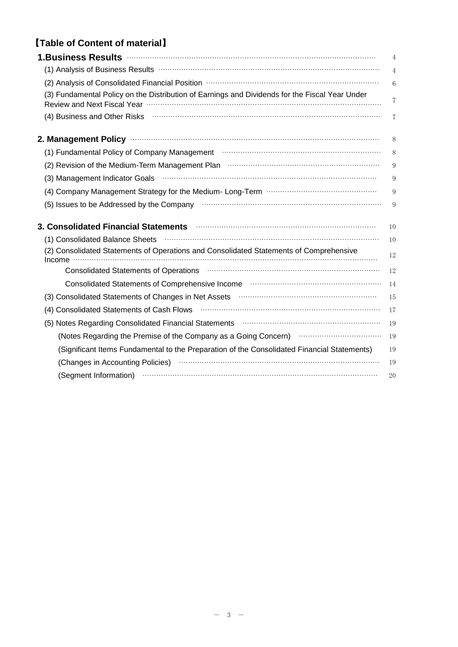# 【**Table of Content of material**】

| $\overline{4}$<br>6<br>(3) Fundamental Policy on the Distribution of Earnings and Dividends for the Fiscal Year Under<br>7<br>(4) Business and Other Risks <b>continuum contract and Contract and Children</b> Risks<br>7<br>8<br>(1) Fundamental Policy of Company Management <b>With Community Company</b> (1)<br>8<br>(2) Revision of the Medium-Term Management Plan manufacture manufacture metastar manufacture<br>9<br>(3) Management Indicator Goals (1999) Management Indicator Goals (1999) Management Indicator Goals<br>9<br>9<br>(5) Issues to be Addressed by the Company manufactured control of the Addressed by the Company<br>9<br>10<br>(1) Consolidated Balance Sheets<br>10<br>(2) Consolidated Statements of Operations and Consolidated Statements of Comprehensive<br>12<br>Income<br>Consolidated Statements of Operations <b>With Consolidated Statements of Operations</b> (2001) (2001) (2001) (2001) (2001) (2003) (2001) (2003) (2003) (2003) (2003) (2003) (2003) (2003) (2003) (2003) (2003) (2003) (2003) (2003)<br>12<br>Consolidated Statements of Comprehensive Income manufactured consolidated Statements of Comprehensive Income<br>14<br>(3) Consolidated Statements of Changes in Net Assets <b>With Consolidated Statements</b> of Changes in Net Assets<br>15<br>(4) Consolidated Statements of Cash Flows (1000) (2000) (2000) (2000) (2000) (2000) (3000) (3000) (3000) (3000<br>17<br>(5) Notes Regarding Consolidated Financial Statements <b>manuformal contracts</b> (5)<br>19<br>(Notes Regarding the Premise of the Company as a Going Concern) <b>Common Contact Concern</b><br>19<br>(Significant Items Fundamental to the Preparation of the Consolidated Financial Statements)<br>19<br>(Changes in Accounting Policies) <b>Washington Changes</b> in Accounting Policies<br>19<br>(Segment Information) <b>With the Contract of Contract Contract Contract Contract Contract Contract Contract Contract Contract Contract Contract Contract Contract Contract Contract Contract Contract Contract Contract Contrac</b><br>20 | 1.Business Results <b>Manual According to the Second According Contract Contract Contract Contract Contract Contract Contract Contract Contract Contract Contract Contract Contract Contract Contract Contract Contract Contract</b> | 4 |
|--------------------------------------------------------------------------------------------------------------------------------------------------------------------------------------------------------------------------------------------------------------------------------------------------------------------------------------------------------------------------------------------------------------------------------------------------------------------------------------------------------------------------------------------------------------------------------------------------------------------------------------------------------------------------------------------------------------------------------------------------------------------------------------------------------------------------------------------------------------------------------------------------------------------------------------------------------------------------------------------------------------------------------------------------------------------------------------------------------------------------------------------------------------------------------------------------------------------------------------------------------------------------------------------------------------------------------------------------------------------------------------------------------------------------------------------------------------------------------------------------------------------------------------------------------------------------------------------------------------------------------------------------------------------------------------------------------------------------------------------------------------------------------------------------------------------------------------------------------------------------------------------------------------------------------------------------------------------------------------------------------------------------------------------------------------------------------------|--------------------------------------------------------------------------------------------------------------------------------------------------------------------------------------------------------------------------------------|---|
|                                                                                                                                                                                                                                                                                                                                                                                                                                                                                                                                                                                                                                                                                                                                                                                                                                                                                                                                                                                                                                                                                                                                                                                                                                                                                                                                                                                                                                                                                                                                                                                                                                                                                                                                                                                                                                                                                                                                                                                                                                                                                      | (1) Analysis of Business Results <b>With the Community Community</b> Analysis of Business Results <b>Minimum Community</b>                                                                                                           |   |
|                                                                                                                                                                                                                                                                                                                                                                                                                                                                                                                                                                                                                                                                                                                                                                                                                                                                                                                                                                                                                                                                                                                                                                                                                                                                                                                                                                                                                                                                                                                                                                                                                                                                                                                                                                                                                                                                                                                                                                                                                                                                                      |                                                                                                                                                                                                                                      |   |
|                                                                                                                                                                                                                                                                                                                                                                                                                                                                                                                                                                                                                                                                                                                                                                                                                                                                                                                                                                                                                                                                                                                                                                                                                                                                                                                                                                                                                                                                                                                                                                                                                                                                                                                                                                                                                                                                                                                                                                                                                                                                                      |                                                                                                                                                                                                                                      |   |
|                                                                                                                                                                                                                                                                                                                                                                                                                                                                                                                                                                                                                                                                                                                                                                                                                                                                                                                                                                                                                                                                                                                                                                                                                                                                                                                                                                                                                                                                                                                                                                                                                                                                                                                                                                                                                                                                                                                                                                                                                                                                                      |                                                                                                                                                                                                                                      |   |
|                                                                                                                                                                                                                                                                                                                                                                                                                                                                                                                                                                                                                                                                                                                                                                                                                                                                                                                                                                                                                                                                                                                                                                                                                                                                                                                                                                                                                                                                                                                                                                                                                                                                                                                                                                                                                                                                                                                                                                                                                                                                                      |                                                                                                                                                                                                                                      |   |
|                                                                                                                                                                                                                                                                                                                                                                                                                                                                                                                                                                                                                                                                                                                                                                                                                                                                                                                                                                                                                                                                                                                                                                                                                                                                                                                                                                                                                                                                                                                                                                                                                                                                                                                                                                                                                                                                                                                                                                                                                                                                                      |                                                                                                                                                                                                                                      |   |
|                                                                                                                                                                                                                                                                                                                                                                                                                                                                                                                                                                                                                                                                                                                                                                                                                                                                                                                                                                                                                                                                                                                                                                                                                                                                                                                                                                                                                                                                                                                                                                                                                                                                                                                                                                                                                                                                                                                                                                                                                                                                                      |                                                                                                                                                                                                                                      |   |
|                                                                                                                                                                                                                                                                                                                                                                                                                                                                                                                                                                                                                                                                                                                                                                                                                                                                                                                                                                                                                                                                                                                                                                                                                                                                                                                                                                                                                                                                                                                                                                                                                                                                                                                                                                                                                                                                                                                                                                                                                                                                                      |                                                                                                                                                                                                                                      |   |
|                                                                                                                                                                                                                                                                                                                                                                                                                                                                                                                                                                                                                                                                                                                                                                                                                                                                                                                                                                                                                                                                                                                                                                                                                                                                                                                                                                                                                                                                                                                                                                                                                                                                                                                                                                                                                                                                                                                                                                                                                                                                                      |                                                                                                                                                                                                                                      |   |
|                                                                                                                                                                                                                                                                                                                                                                                                                                                                                                                                                                                                                                                                                                                                                                                                                                                                                                                                                                                                                                                                                                                                                                                                                                                                                                                                                                                                                                                                                                                                                                                                                                                                                                                                                                                                                                                                                                                                                                                                                                                                                      |                                                                                                                                                                                                                                      |   |
|                                                                                                                                                                                                                                                                                                                                                                                                                                                                                                                                                                                                                                                                                                                                                                                                                                                                                                                                                                                                                                                                                                                                                                                                                                                                                                                                                                                                                                                                                                                                                                                                                                                                                                                                                                                                                                                                                                                                                                                                                                                                                      | 3. Consolidated Financial Statements <b>Constitution Consolidate Statement Consolidated Financial Statements</b>                                                                                                                     |   |
|                                                                                                                                                                                                                                                                                                                                                                                                                                                                                                                                                                                                                                                                                                                                                                                                                                                                                                                                                                                                                                                                                                                                                                                                                                                                                                                                                                                                                                                                                                                                                                                                                                                                                                                                                                                                                                                                                                                                                                                                                                                                                      |                                                                                                                                                                                                                                      |   |
|                                                                                                                                                                                                                                                                                                                                                                                                                                                                                                                                                                                                                                                                                                                                                                                                                                                                                                                                                                                                                                                                                                                                                                                                                                                                                                                                                                                                                                                                                                                                                                                                                                                                                                                                                                                                                                                                                                                                                                                                                                                                                      |                                                                                                                                                                                                                                      |   |
|                                                                                                                                                                                                                                                                                                                                                                                                                                                                                                                                                                                                                                                                                                                                                                                                                                                                                                                                                                                                                                                                                                                                                                                                                                                                                                                                                                                                                                                                                                                                                                                                                                                                                                                                                                                                                                                                                                                                                                                                                                                                                      |                                                                                                                                                                                                                                      |   |
|                                                                                                                                                                                                                                                                                                                                                                                                                                                                                                                                                                                                                                                                                                                                                                                                                                                                                                                                                                                                                                                                                                                                                                                                                                                                                                                                                                                                                                                                                                                                                                                                                                                                                                                                                                                                                                                                                                                                                                                                                                                                                      |                                                                                                                                                                                                                                      |   |
|                                                                                                                                                                                                                                                                                                                                                                                                                                                                                                                                                                                                                                                                                                                                                                                                                                                                                                                                                                                                                                                                                                                                                                                                                                                                                                                                                                                                                                                                                                                                                                                                                                                                                                                                                                                                                                                                                                                                                                                                                                                                                      |                                                                                                                                                                                                                                      |   |
|                                                                                                                                                                                                                                                                                                                                                                                                                                                                                                                                                                                                                                                                                                                                                                                                                                                                                                                                                                                                                                                                                                                                                                                                                                                                                                                                                                                                                                                                                                                                                                                                                                                                                                                                                                                                                                                                                                                                                                                                                                                                                      |                                                                                                                                                                                                                                      |   |
|                                                                                                                                                                                                                                                                                                                                                                                                                                                                                                                                                                                                                                                                                                                                                                                                                                                                                                                                                                                                                                                                                                                                                                                                                                                                                                                                                                                                                                                                                                                                                                                                                                                                                                                                                                                                                                                                                                                                                                                                                                                                                      |                                                                                                                                                                                                                                      |   |
|                                                                                                                                                                                                                                                                                                                                                                                                                                                                                                                                                                                                                                                                                                                                                                                                                                                                                                                                                                                                                                                                                                                                                                                                                                                                                                                                                                                                                                                                                                                                                                                                                                                                                                                                                                                                                                                                                                                                                                                                                                                                                      |                                                                                                                                                                                                                                      |   |
|                                                                                                                                                                                                                                                                                                                                                                                                                                                                                                                                                                                                                                                                                                                                                                                                                                                                                                                                                                                                                                                                                                                                                                                                                                                                                                                                                                                                                                                                                                                                                                                                                                                                                                                                                                                                                                                                                                                                                                                                                                                                                      |                                                                                                                                                                                                                                      |   |
|                                                                                                                                                                                                                                                                                                                                                                                                                                                                                                                                                                                                                                                                                                                                                                                                                                                                                                                                                                                                                                                                                                                                                                                                                                                                                                                                                                                                                                                                                                                                                                                                                                                                                                                                                                                                                                                                                                                                                                                                                                                                                      |                                                                                                                                                                                                                                      |   |
|                                                                                                                                                                                                                                                                                                                                                                                                                                                                                                                                                                                                                                                                                                                                                                                                                                                                                                                                                                                                                                                                                                                                                                                                                                                                                                                                                                                                                                                                                                                                                                                                                                                                                                                                                                                                                                                                                                                                                                                                                                                                                      |                                                                                                                                                                                                                                      |   |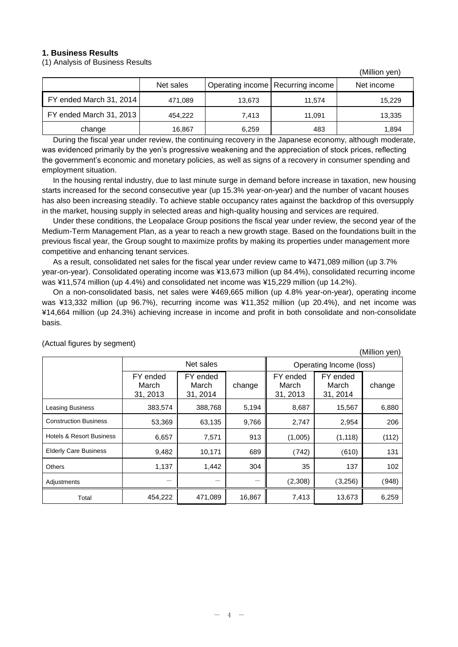## **1. Business Results**

(1) Analysis of Business Results

|                         |           |        |                                     | (Million yen) |
|-------------------------|-----------|--------|-------------------------------------|---------------|
|                         | Net sales |        | Operating income   Recurring income | Net income    |
| FY ended March 31, 2014 | 471,089   | 13,673 | 11.574                              | 15,229        |
| FY ended March 31, 2013 | 454,222   | 7.413  | 11.091                              | 13,335        |
| change                  | 16,867    | 6,259  | 483                                 | 1,894         |

During the fiscal year under review, the continuing recovery in the Japanese economy, although moderate, was evidenced primarily by the yen's progressive weakening and the appreciation of stock prices, reflecting the government's economic and monetary policies, as well as signs of a recovery in consumer spending and employment situation.

In the housing rental industry, due to last minute surge in demand before increase in taxation, new housing starts increased for the second consecutive year (up 15.3% year-on-year) and the number of vacant houses has also been increasing steadily. To achieve stable occupancy rates against the backdrop of this oversupply in the market, housing supply in selected areas and high-quality housing and services are required.

Under these conditions, the Leopalace Group positions the fiscal year under review, the second year of the Medium-Term Management Plan, as a year to reach a new growth stage. Based on the foundations built in the previous fiscal year, the Group sought to maximize profits by making its properties under management more competitive and enhancing tenant services.

As a result, consolidated net sales for the fiscal year under review came to ¥471,089 million (up 3.7% year-on-year). Consolidated operating income was ¥13,673 million (up 84.4%), consolidated recurring income was ¥11,574 million (up 4.4%) and consolidated net income was ¥15,229 million (up 14.2%).

On a non-consolidated basis, net sales were ¥469,665 million (up 4.8% year-on-year), operating income was ¥13,332 million (up 96.7%), recurring income was ¥11,352 million (up 20.4%), and net income was ¥14,664 million (up 24.3%) achieving increase in income and profit in both consolidate and non-consolidate basis.

|                                     |                               |                               |        |                               |                               | (Million yen) |
|-------------------------------------|-------------------------------|-------------------------------|--------|-------------------------------|-------------------------------|---------------|
|                                     |                               | Net sales                     |        |                               | Operating Income (loss)       |               |
|                                     | FY ended<br>March<br>31, 2013 | FY ended<br>March<br>31, 2014 | change | FY ended<br>March<br>31, 2013 | FY ended<br>March<br>31, 2014 | change        |
| Leasing Business                    | 383,574                       | 388,768                       | 5,194  | 8,687                         | 15,567                        | 6,880         |
| <b>Construction Business</b>        | 53,369                        | 63,135                        | 9,766  | 2,747                         | 2,954                         | 206           |
| <b>Hotels &amp; Resort Business</b> | 6,657                         | 7,571                         | 913    | (1,005)                       | (1, 118)                      | (112)         |
| <b>Elderly Care Business</b>        | 9,482                         | 10,171                        | 689    | (742)                         | (610)                         | 131           |
| <b>Others</b>                       | 1,137                         | 1,442                         | 304    | 35                            | 137                           | 102           |
| Adjustments                         |                               |                               |        | (2,308)                       | (3,256)                       | (948)         |
| Total                               | 454,222                       | 471,089                       | 16,867 | 7,413                         | 13,673                        | 6,259         |

(Actual figures by segment)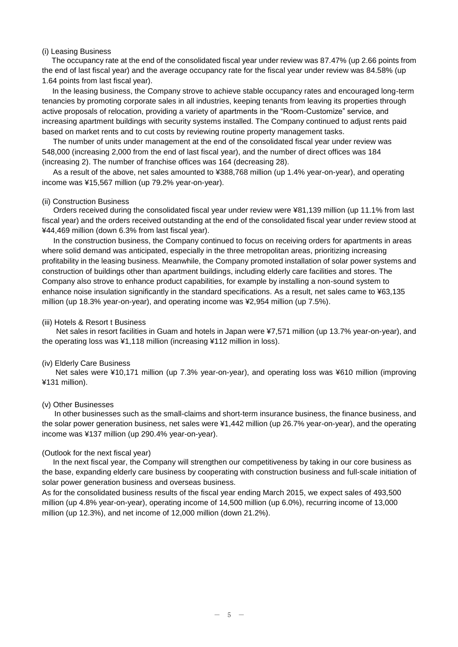### (i) Leasing Business

The occupancy rate at the end of the consolidated fiscal year under review was 87.47% (up 2.66 points from the end of last fiscal year) and the average occupancy rate for the fiscal year under review was 84.58% (up 1.64 points from last fiscal year).

In the leasing business, the Company strove to achieve stable occupancy rates and encouraged long-term tenancies by promoting corporate sales in all industries, keeping tenants from leaving its properties through active proposals of relocation, providing a variety of apartments in the "Room-Customize" service, and increasing apartment buildings with security systems installed. The Company continued to adjust rents paid based on market rents and to cut costs by reviewing routine property management tasks.

The number of units under management at the end of the consolidated fiscal year under review was 548,000 (increasing 2,000 from the end of last fiscal year), and the number of direct offices was 184 (increasing 2). The number of franchise offices was 164 (decreasing 28).

As a result of the above, net sales amounted to ¥388,768 million (up 1.4% year-on-year), and operating income was ¥15,567 million (up 79.2% year-on-year).

#### (ii) Construction Business

Orders received during the consolidated fiscal year under review were ¥81,139 million (up 11.1% from last fiscal year) and the orders received outstanding at the end of the consolidated fiscal year under review stood at ¥44,469 million (down 6.3% from last fiscal year).

In the construction business, the Company continued to focus on receiving orders for apartments in areas where solid demand was anticipated, especially in the three metropolitan areas, prioritizing increasing profitability in the leasing business. Meanwhile, the Company promoted installation of solar power systems and construction of buildings other than apartment buildings, including elderly care facilities and stores. The Company also strove to enhance product capabilities, for example by installing a non-sound system to enhance noise insulation significantly in the standard specifications. As a result, net sales came to ¥63,135 million (up 18.3% year-on-year), and operating income was ¥2,954 million (up 7.5%).

#### (iii) Hotels & Resort t Business

Net sales in resort facilities in Guam and hotels in Japan were ¥7,571 million (up 13.7% year-on-year), and the operating loss was ¥1,118 million (increasing ¥112 million in loss).

#### (iv) Elderly Care Business

Net sales were ¥10,171 million (up 7.3% year-on-year), and operating loss was ¥610 million (improving ¥131 million).

### (v) Other Businesses

In other businesses such as the small-claims and short-term insurance business, the finance business, and the solar power generation business, net sales were ¥1,442 million (up 26.7% year-on-year), and the operating income was ¥137 million (up 290.4% year-on-year).

#### (Outlook for the next fiscal year)

In the next fiscal year, the Company will strengthen our competitiveness by taking in our core business as the base, expanding elderly care business by cooperating with construction business and full-scale initiation of solar power generation business and overseas business.

As for the consolidated business results of the fiscal year ending March 2015, we expect sales of 493,500 million (up 4.8% year-on-year), operating income of 14,500 million (up 6.0%), recurring income of 13,000 million (up 12.3%), and net income of 12,000 million (down 21.2%).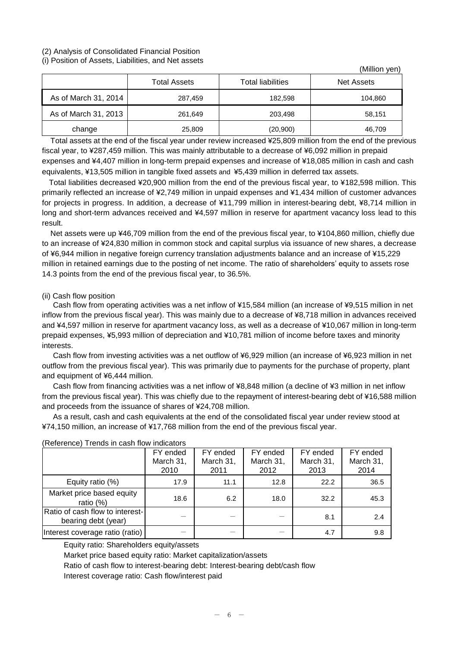#### (2) Analysis of Consolidated Financial Position (i) Position of Assets, Liabilities, and Net assets

| $\sqrt{ }$           |                     |                          | (Million yen)     |
|----------------------|---------------------|--------------------------|-------------------|
|                      | <b>Total Assets</b> | <b>Total liabilities</b> | <b>Net Assets</b> |
| As of March 31, 2014 | 287,459             | 182,598                  | 104,860           |
| As of March 31, 2013 | 261,649             | 203,498                  | 58,151            |
| change               | 25,809              | (20,900)                 | 46,709            |

Total assets at the end of the fiscal year under review increased ¥25,809 million from the end of the previous fiscal year, to ¥287,459 million. This was mainly attributable to a decrease of ¥6,092 million in prepaid expenses and ¥4,407 million in long-term prepaid expenses and increase of ¥18,085 million in cash and cash equivalents, ¥13,505 million in tangible fixed assets and ¥5,439 million in deferred tax assets.

Total liabilities decreased ¥20,900 million from the end of the previous fiscal year, to ¥182,598 million. This primarily reflected an increase of ¥2,749 million in unpaid expenses and ¥1,434 million of customer advances for projects in progress. In addition, a decrease of ¥11,799 million in interest-bearing debt, ¥8,714 million in long and short-term advances received and ¥4,597 million in reserve for apartment vacancy loss lead to this result.

Net assets were up ¥46,709 million from the end of the previous fiscal year, to ¥104,860 million, chiefly due to an increase of ¥24,830 million in common stock and capital surplus via issuance of new shares, a decrease of ¥6,944 million in negative foreign currency translation adjustments balance and an increase of ¥15,229 million in retained earnings due to the posting of net income. The ratio of shareholders' equity to assets rose 14.3 points from the end of the previous fiscal year, to 36.5%.

## (ii) Cash flow position

Cash flow from operating activities was a net inflow of ¥15,584 million (an increase of ¥9,515 million in net inflow from the previous fiscal year). This was mainly due to a decrease of ¥8,718 million in advances received and ¥4,597 million in reserve for apartment vacancy loss, as well as a decrease of ¥10,067 million in long-term prepaid expenses, ¥5,993 million of depreciation and ¥10,781 million of income before taxes and minority interests.

Cash flow from investing activities was a net outflow of ¥6,929 million (an increase of ¥6,923 million in net outflow from the previous fiscal year). This was primarily due to payments for the purchase of property, plant and equipment of ¥6,444 million.

Cash flow from financing activities was a net inflow of ¥8,848 million (a decline of ¥3 million in net inflow from the previous fiscal year). This was chiefly due to the repayment of interest-bearing debt of ¥16,588 million and proceeds from the issuance of shares of ¥24,708 million.

As a result, cash and cash equivalents at the end of the consolidated fiscal year under review stood at ¥74,150 million, an increase of ¥17,768 million from the end of the previous fiscal year.

|                                                        | <b>NOIDIOIOU</b> TIONO IN OGON NOW INGIOGLOID |           |           |           |           |  |  |
|--------------------------------------------------------|-----------------------------------------------|-----------|-----------|-----------|-----------|--|--|
|                                                        | FY ended                                      | FY ended  | FY ended  | FY ended  | FY ended  |  |  |
|                                                        | March 31,                                     | March 31, | March 31, | March 31, | March 31, |  |  |
|                                                        | 2010                                          | 2011      | 2012      | 2013      | 2014      |  |  |
| Equity ratio (%)                                       | 17.9                                          | 11.1      | 12.8      | 22.2      | 36.5      |  |  |
| Market price based equity<br>ratio $(%)$               | 18.6                                          | 6.2       | 18.0      | 32.2      | 45.3      |  |  |
| Ratio of cash flow to interest-<br>bearing debt (year) |                                               |           |           | 8.1       | 2.4       |  |  |
| Interest coverage ratio (ratio)                        |                                               |           |           | 4.7       | 9.8       |  |  |

## (Reference) Trends in cash flow indicators

Equity ratio: Shareholders equity/assets

Market price based equity ratio: Market capitalization/assets

Ratio of cash flow to interest-bearing debt: Interest-bearing debt/cash flow

Interest coverage ratio: Cash flow/interest paid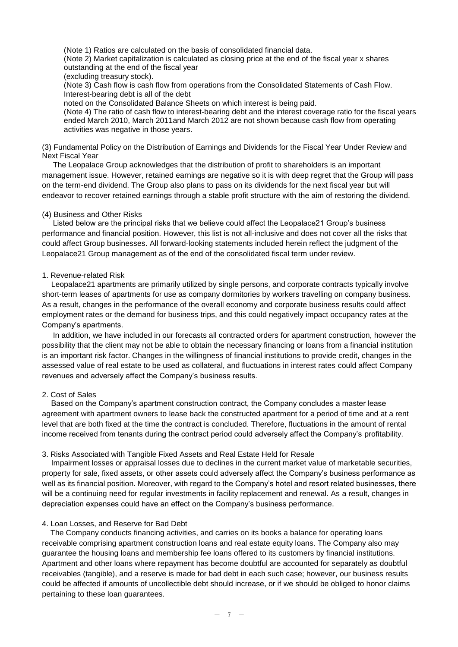(Note 1) Ratios are calculated on the basis of consolidated financial data.

(Note 2) Market capitalization is calculated as closing price at the end of the fiscal year x shares outstanding at the end of the fiscal year

(excluding treasury stock).

(Note 3) Cash flow is cash flow from operations from the Consolidated Statements of Cash Flow. Interest-bearing debt is all of the debt

noted on the Consolidated Balance Sheets on which interest is being paid.

(Note 4) The ratio of cash flow to interest-bearing debt and the interest coverage ratio for the fiscal years ended March 2010, March 2011and March 2012 are not shown because cash flow from operating activities was negative in those years.

(3) Fundamental Policy on the Distribution of Earnings and Dividends for the Fiscal Year Under Review and Next Fiscal Year

The Leopalace Group acknowledges that the distribution of profit to shareholders is an important management issue. However, retained earnings are negative so it is with deep regret that the Group will pass on the term-end dividend. The Group also plans to pass on its dividends for the next fiscal year but will endeavor to recover retained earnings through a stable profit structure with the aim of restoring the dividend.

### (4) Business and Other Risks

Listed below are the principal risks that we believe could affect the Leopalace21 Group's business performance and financial position. However, this list is not all-inclusive and does not cover all the risks that could affect Group businesses. All forward-looking statements included herein reflect the judgment of the Leopalace21 Group management as of the end of the consolidated fiscal term under review.

#### 1. Revenue-related Risk

Leopalace21 apartments are primarily utilized by single persons, and corporate contracts typically involve short-term leases of apartments for use as company dormitories by workers travelling on company business. As a result, changes in the performance of the overall economy and corporate business results could affect employment rates or the demand for business trips, and this could negatively impact occupancy rates at the Company's apartments.

In addition, we have included in our forecasts all contracted orders for apartment construction, however the possibility that the client may not be able to obtain the necessary financing or loans from a financial institution is an important risk factor. Changes in the willingness of financial institutions to provide credit, changes in the assessed value of real estate to be used as collateral, and fluctuations in interest rates could affect Company revenues and adversely affect the Company's business results.

### 2. Cost of Sales

Based on the Company's apartment construction contract, the Company concludes a master lease agreement with apartment owners to lease back the constructed apartment for a period of time and at a rent level that are both fixed at the time the contract is concluded. Therefore, fluctuations in the amount of rental income received from tenants during the contract period could adversely affect the Company's profitability.

#### 3. Risks Associated with Tangible Fixed Assets and Real Estate Held for Resale

Impairment losses or appraisal losses due to declines in the current market value of marketable securities, property for sale, fixed assets, or other assets could adversely affect the Company's business performance as well as its financial position. Moreover, with regard to the Company's hotel and resort related businesses, there will be a continuing need for regular investments in facility replacement and renewal. As a result, changes in depreciation expenses could have an effect on the Company's business performance.

#### 4. Loan Losses, and Reserve for Bad Debt

The Company conducts financing activities, and carries on its books a balance for operating loans receivable comprising apartment construction loans and real estate equity loans. The Company also may guarantee the housing loans and membership fee loans offered to its customers by financial institutions. Apartment and other loans where repayment has become doubtful are accounted for separately as doubtful receivables (tangible), and a reserve is made for bad debt in each such case; however, our business results could be affected if amounts of uncollectible debt should increase, or if we should be obliged to honor claims pertaining to these loan guarantees.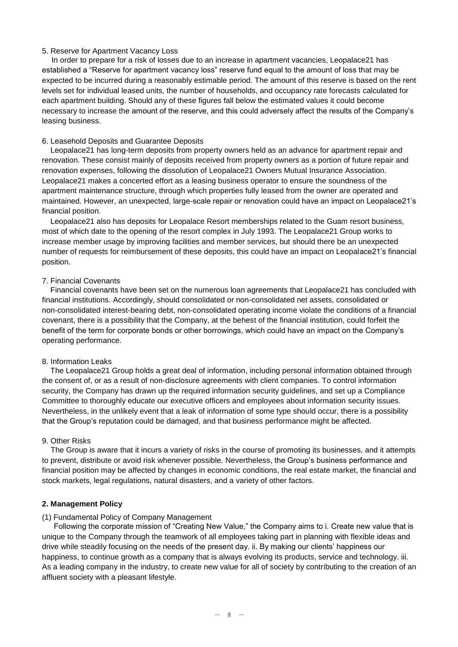### 5. Reserve for Apartment Vacancy Loss

In order to prepare for a risk of losses due to an increase in apartment vacancies, Leopalace21 has established a "Reserve for apartment vacancy loss" reserve fund equal to the amount of loss that may be expected to be incurred during a reasonably estimable period. The amount of this reserve is based on the rent levels set for individual leased units, the number of households, and occupancy rate forecasts calculated for each apartment building. Should any of these figures fall below the estimated values it could become necessary to increase the amount of the reserve, and this could adversely affect the results of the Company's leasing business.

### 6. Leasehold Deposits and Guarantee Deposits

Leopalace21 has long-term deposits from property owners held as an advance for apartment repair and renovation. These consist mainly of deposits received from property owners as a portion of future repair and renovation expenses, following the dissolution of Leopalace21 Owners Mutual Insurance Association. Leopalace21 makes a concerted effort as a leasing business operator to ensure the soundness of the apartment maintenance structure, through which properties fully leased from the owner are operated and maintained. However, an unexpected, large-scale repair or renovation could have an impact on Leopalace21's financial position.

Leopalace21 also has deposits for Leopalace Resort memberships related to the Guam resort business, most of which date to the opening of the resort complex in July 1993. The Leopalace21 Group works to increase member usage by improving facilities and member services, but should there be an unexpected number of requests for reimbursement of these deposits, this could have an impact on Leopalace21's financial position.

### 7. Financial Covenants

Financial covenants have been set on the numerous loan agreements that Leopalace21 has concluded with financial institutions. Accordingly, should consolidated or non-consolidated net assets, consolidated or non-consolidated interest-bearing debt, non-consolidated operating income violate the conditions of a financial covenant, there is a possibility that the Company, at the behest of the financial institution, could forfeit the benefit of the term for corporate bonds or other borrowings, which could have an impact on the Company's operating performance.

### 8. Information Leaks

The Leopalace21 Group holds a great deal of information, including personal information obtained through the consent of, or as a result of non-disclosure agreements with client companies. To control information security, the Company has drawn up the required information security guidelines, and set up a Compliance Committee to thoroughly educate our executive officers and employees about information security issues. Nevertheless, in the unlikely event that a leak of information of some type should occur, there is a possibility that the Group's reputation could be damaged, and that business performance might be affected.

### 9. Other Risks

The Group is aware that it incurs a variety of risks in the course of promoting its businesses, and it attempts to prevent, distribute or avoid risk whenever possible. Nevertheless, the Group's business performance and financial position may be affected by changes in economic conditions, the real estate market, the financial and stock markets, legal regulations, natural disasters, and a variety of other factors.

## **2. Management Policy**

## (1) Fundamental Policy of Company Management

Following the corporate mission of "Creating New Value," the Company aims to i. Create new value that is unique to the Company through the teamwork of all employees taking part in planning with flexible ideas and drive while steadily focusing on the needs of the present day. ii. By making our clients' happiness our happiness, to continue growth as a company that is always evolving its products, service and technology. iii. As a leading company in the industry, to create new value for all of society by contributing to the creation of an affluent society with a pleasant lifestyle.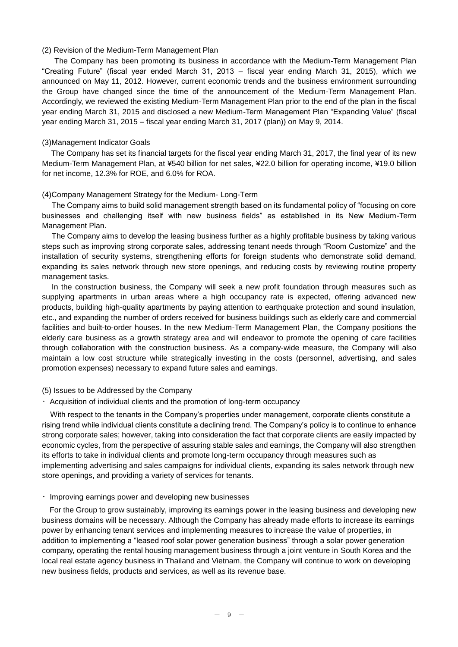#### (2) Revision of the Medium-Term Management Plan

The Company has been promoting its business in accordance with the Medium-Term Management Plan "Creating Future" (fiscal year ended March 31, 2013 – fiscal year ending March 31, 2015), which we announced on May 11, 2012. However, current economic trends and the business environment surrounding the Group have changed since the time of the announcement of the Medium-Term Management Plan. Accordingly, we reviewed the existing Medium-Term Management Plan prior to the end of the plan in the fiscal year ending March 31, 2015 and disclosed a new Medium-Term Management Plan "Expanding Value" (fiscal year ending March 31, 2015 – fiscal year ending March 31, 2017 (plan)) on May 9, 2014.

#### (3)Management Indicator Goals

The Company has set its financial targets for the fiscal year ending March 31, 2017, the final year of its new Medium-Term Management Plan, at ¥540 billion for net sales, ¥22.0 billion for operating income, ¥19.0 billion for net income, 12.3% for ROE, and 6.0% for ROA.

#### (4)Company Management Strategy for the Medium- Long-Term

The Company aims to build solid management strength based on its fundamental policy of "focusing on core businesses and challenging itself with new business fields" as established in its New Medium-Term Management Plan.

The Company aims to develop the leasing business further as a highly profitable business by taking various steps such as improving strong corporate sales, addressing tenant needs through "Room Customize" and the installation of security systems, strengthening efforts for foreign students who demonstrate solid demand, expanding its sales network through new store openings, and reducing costs by reviewing routine property management tasks.

In the construction business, the Company will seek a new profit foundation through measures such as supplying apartments in urban areas where a high occupancy rate is expected, offering advanced new products, building high-quality apartments by paying attention to earthquake protection and sound insulation, etc., and expanding the number of orders received for business buildings such as elderly care and commercial facilities and built-to-order houses. In the new Medium-Term Management Plan, the Company positions the elderly care business as a growth strategy area and will endeavor to promote the opening of care facilities through collaboration with the construction business. As a company-wide measure, the Company will also maintain a low cost structure while strategically investing in the costs (personnel, advertising, and sales promotion expenses) necessary to expand future sales and earnings.

### (5) Issues to be Addressed by the Company

・Acquisition of individual clients and the promotion of long-term occupancy

With respect to the tenants in the Company's properties under management, corporate clients constitute a rising trend while individual clients constitute a declining trend. The Company's policy is to continue to enhance strong corporate sales; however, taking into consideration the fact that corporate clients are easily impacted by economic cycles, from the perspective of assuring stable sales and earnings, the Company will also strengthen its efforts to take in individual clients and promote long-term occupancy through measures such as implementing advertising and sales campaigns for individual clients, expanding its sales network through new store openings, and providing a variety of services for tenants.

・Improving earnings power and developing new businesses

For the Group to grow sustainably, improving its earnings power in the leasing business and developing new business domains will be necessary. Although the Company has already made efforts to increase its earnings power by enhancing tenant services and implementing measures to increase the value of properties, in addition to implementing a "leased roof solar power generation business" through a solar power generation company, operating the rental housing management business through a joint venture in South Korea and the local real estate agency business in Thailand and Vietnam, the Company will continue to work on developing new business fields, products and services, as well as its revenue base.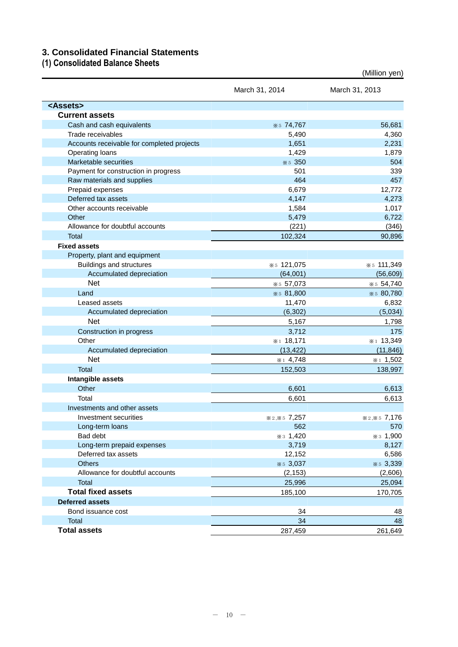## **3. Consolidated Financial Statements**

## **(1) Consolidated Balance Sheets**

|                                            | March 31, 2014 | March 31, 2013 |
|--------------------------------------------|----------------|----------------|
| <assets></assets>                          |                |                |
| <b>Current assets</b>                      |                |                |
| Cash and cash equivalents                  | * 5 74,767     | 56,681         |
| Trade receivables                          | 5,490          | 4,360          |
| Accounts receivable for completed projects | 1,651          | 2,231          |
| Operating loans                            | 1,429          | 1,879          |
| Marketable securities                      | * 5 350        | 504            |
| Payment for construction in progress       | 501            | 339            |
| Raw materials and supplies                 | 464            | 457            |
| Prepaid expenses                           | 6,679          | 12,772         |
| Deferred tax assets                        | 4,147          | 4,273          |
| Other accounts receivable                  | 1,584          | 1,017          |
| Other                                      | 5,479          | 6,722          |
| Allowance for doubtful accounts            | (221)          | (346)          |
| Total                                      | 102,324        | 90,896         |
| <b>Fixed assets</b>                        |                |                |
| Property, plant and equipment              |                |                |
| Buildings and structures                   | * 5 121,075    | * 5 111,349    |
| Accumulated depreciation                   | (64,001)       | (56, 609)      |
| <b>Net</b>                                 | * 57,073       | * 54,740       |
| Land                                       | * 5 81,800     | * 5 80,780     |
| Leased assets                              | 11,470         | 6,832          |
| Accumulated depreciation                   | (6, 302)       | (5,034)        |
| <b>Net</b>                                 | 5,167          | 1,798          |
| Construction in progress                   | 3,712          | 175            |
| Other                                      | $*1 18,171$    | *1 13,349      |
| Accumulated depreciation                   | (13, 422)      | (11, 846)      |
| <b>Net</b>                                 | $*14,748$      | $*1 1,502$     |
| <b>Total</b>                               | 152,503        | 138,997        |
| Intangible assets                          |                |                |
| Other                                      | 6,601          | 6,613          |
| Total                                      | 6,601          | 6,613          |
| Investments and other assets               |                |                |
| Investment securities                      | * 2,* 5 7,257  | * 2,* 5 7,176  |
| Long-term loans                            | 562            | 570            |
| Bad debt                                   | * 3 1,420      | * 3 1,900      |
| Long-term prepaid expenses                 | 3,719          | 8,127          |
| Deferred tax assets                        | 12,152         | 6,586          |
| <b>Others</b>                              | * 5 3,037      | * 5 3,339      |
| Allowance for doubtful accounts            | (2, 153)       | (2,606)        |
| Total                                      | 25,996         | 25,094         |
| <b>Total fixed assets</b>                  | 185,100        | 170,705        |
| <b>Deferred assets</b>                     |                |                |
| Bond issuance cost                         | 34             | 48             |
| Total                                      | 34             | 48             |
| <b>Total assets</b>                        | 287,459        | 261,649        |

(Million yen)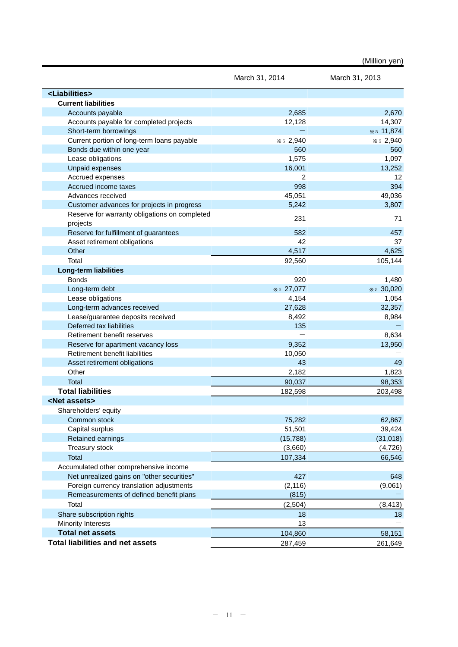|                                               |                | (Million yen)  |
|-----------------------------------------------|----------------|----------------|
|                                               | March 31, 2014 | March 31, 2013 |
| <liabilities></liabilities>                   |                |                |
| <b>Current liabilities</b>                    |                |                |
| Accounts payable                              | 2,685          | 2,670          |
| Accounts payable for completed projects       | 12,128         | 14,307         |
| Short-term borrowings                         |                | * 5 11,874     |
| Current portion of long-term loans payable    | * 5 2,940      | * 5 2,940      |
| Bonds due within one year                     | 560            | 560            |
| Lease obligations                             | 1,575          | 1,097          |
| <b>Unpaid expenses</b>                        | 16,001         | 13,252         |
| Accrued expenses                              | $\overline{2}$ | 12             |
| Accrued income taxes                          | 998            | 394            |
| Advances received                             | 45,051         | 49,036         |
| Customer advances for projects in progress    | 5,242          | 3,807          |
| Reserve for warranty obligations on completed | 231            | 71             |
| projects                                      |                |                |
| Reserve for fulfillment of guarantees         | 582            | 457            |
| Asset retirement obligations                  | 42             | 37             |
| Other                                         | 4,517          | 4,625          |
| Total                                         | 92,560         | 105,144        |
| <b>Long-term liabilities</b>                  |                |                |
| <b>Bonds</b>                                  | 920            | 1,480          |
| Long-term debt                                | * 5 27,077     | * 5 30,020     |
| Lease obligations                             | 4,154          | 1,054          |
| Long-term advances received                   | 27,628         | 32,357         |
| Lease/guarantee deposits received             | 8,492          | 8,984          |
| Deferred tax liabilities                      | 135            |                |
| Retirement benefit reserves                   |                | 8,634          |
| Reserve for apartment vacancy loss            | 9,352          | 13,950         |
| Retirement benefit liabilities                | 10,050         |                |
| Asset retirement obligations                  | 43             | 49             |
| Other                                         | 2,182          | 1,823          |
| <b>Total</b>                                  | 90,037         | 98,353         |
| <b>Total liabilities</b>                      | 182,598        | 203,498        |
| <net assets=""></net>                         |                |                |
| Shareholders' equity                          |                |                |
| Common stock                                  | 75,282         | 62,867         |
| Capital surplus                               | 51,501         | 39,424         |
| Retained earnings                             | (15, 788)      | (31, 018)      |
| Treasury stock                                | (3,660)        | (4, 726)       |
| <b>Total</b>                                  | 107,334        | 66,546         |
| Accumulated other comprehensive income        |                |                |
| Net unrealized gains on "other securities"    | 427            | 648            |
| Foreign currency translation adjustments      | (2, 116)       | (9,061)        |
| Remeasurements of defined benefit plans       | (815)          |                |
| Total                                         | (2, 504)       | (8, 413)       |
| Share subscription rights                     | 18             | 18             |
| Minority Interests                            | 13             |                |
| <b>Total net assets</b>                       | 104,860        | 58,151         |
| <b>Total liabilities and net assets</b>       | 287,459        | 261,649        |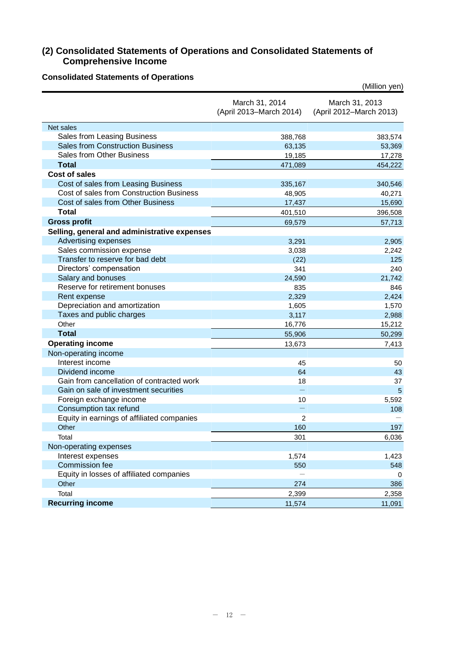## **(2) Consolidated Statements of Operations and Consolidated Statements of Comprehensive Income**

## **Consolidated Statements of Operations**

| sonaatoa otatomonto or                       |                                           | (Million yen)                             |
|----------------------------------------------|-------------------------------------------|-------------------------------------------|
|                                              | March 31, 2014<br>(April 2013-March 2014) | March 31, 2013<br>(April 2012-March 2013) |
| Net sales                                    |                                           |                                           |
| Sales from Leasing Business                  | 388,768                                   | 383,574                                   |
| <b>Sales from Construction Business</b>      | 63,135                                    | 53,369                                    |
| Sales from Other Business                    | 19,185                                    | 17,278                                    |
| <b>Total</b>                                 | 471,089                                   | 454,222                                   |
| <b>Cost of sales</b>                         |                                           |                                           |
| Cost of sales from Leasing Business          | 335,167                                   | 340,546                                   |
| Cost of sales from Construction Business     | 48,905                                    | 40,271                                    |
| Cost of sales from Other Business            | 17,437                                    | 15,690                                    |
| <b>Total</b>                                 | 401,510                                   | 396,508                                   |
| <b>Gross profit</b>                          | 69,579                                    | 57,713                                    |
| Selling, general and administrative expenses |                                           |                                           |
| Advertising expenses                         | 3,291                                     | 2,905                                     |
| Sales commission expense                     | 3,038                                     | 2,242                                     |
| Transfer to reserve for bad debt             | (22)                                      | 125                                       |
| Directors' compensation                      | 341                                       | 240                                       |
| Salary and bonuses                           | 24,590                                    | 21,742                                    |
| Reserve for retirement bonuses               | 835                                       | 846                                       |
| Rent expense                                 | 2,329                                     | 2,424                                     |
| Depreciation and amortization                | 1,605                                     | 1,570                                     |
| Taxes and public charges                     | 3,117                                     | 2,988                                     |
| Other                                        | 16,776                                    | 15,212                                    |
| <b>Total</b>                                 | 55,906                                    | 50,299                                    |
| <b>Operating income</b>                      | 13,673                                    | 7,413                                     |
| Non-operating income                         |                                           |                                           |
| Interest income                              | 45                                        | 50                                        |
| Dividend income                              | 64                                        | 43                                        |
| Gain from cancellation of contracted work    | 18                                        | 37                                        |
| Gain on sale of investment securities        |                                           | $5\phantom{1}$                            |
| Foreign exchange income                      | 10                                        | 5,592                                     |
| Consumption tax refund                       |                                           | 108                                       |
| Equity in earnings of affiliated companies   | 2                                         |                                           |
| Other                                        | 160                                       | 197                                       |
| Total                                        | 301                                       | 6,036                                     |
| Non-operating expenses                       |                                           |                                           |
| Interest expenses                            | 1,574                                     | 1,423                                     |
| Commission fee                               | 550                                       | 548                                       |
| Equity in losses of affiliated companies     |                                           | $\Omega$                                  |
| Other                                        | 274                                       | 386                                       |
| Total                                        | 2,399                                     | 2,358                                     |
| <b>Recurring income</b>                      | 11,574                                    | 11,091                                    |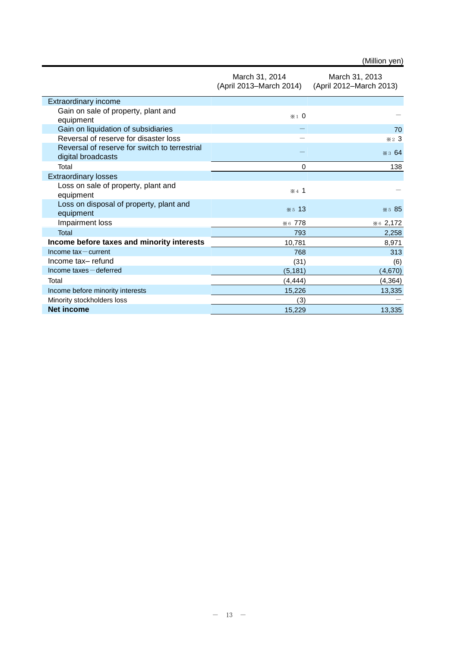|  | (Million yen) |
|--|---------------|
|  |               |

|                                                                     | March 31, 2014<br>(April 2013–March 2014) | March 31, 2013<br>(April 2012-March 2013) |
|---------------------------------------------------------------------|-------------------------------------------|-------------------------------------------|
| <b>Extraordinary income</b>                                         |                                           |                                           |
| Gain on sale of property, plant and<br>equipment                    | $*1$ 0                                    |                                           |
| Gain on liquidation of subsidiaries                                 |                                           | 70                                        |
| Reversal of reserve for disaster loss                               |                                           | $*23$                                     |
| Reversal of reserve for switch to terrestrial<br>digital broadcasts |                                           | $\ast$ 3 64                               |
| Total                                                               | $\mathbf 0$                               | 138                                       |
| <b>Extraordinary losses</b>                                         |                                           |                                           |
| Loss on sale of property, plant and<br>equipment                    | $\mathbf{\times}$ 4 1                     |                                           |
| Loss on disposal of property, plant and<br>equipment                | $*5$ 13                                   | * 5 85                                    |
| Impairment loss                                                     | *6 778                                    | % 62,172                                  |
| Total                                                               | 793                                       | 2,258                                     |
| Income before taxes and minority interests                          | 10,781                                    | 8,971                                     |
| Income $tax$ – current                                              | 768                                       | 313                                       |
| Income tax-refund                                                   | (31)                                      | (6)                                       |
| $Income$ taxes $-$ deferred                                         | (5, 181)                                  | (4,670)                                   |
| Total                                                               | (4, 444)                                  | (4, 364)                                  |
| Income before minority interests                                    | 15,226                                    | 13,335                                    |
| Minority stockholders loss                                          | (3)                                       |                                           |
| <b>Net income</b>                                                   | 15,229                                    | 13,335                                    |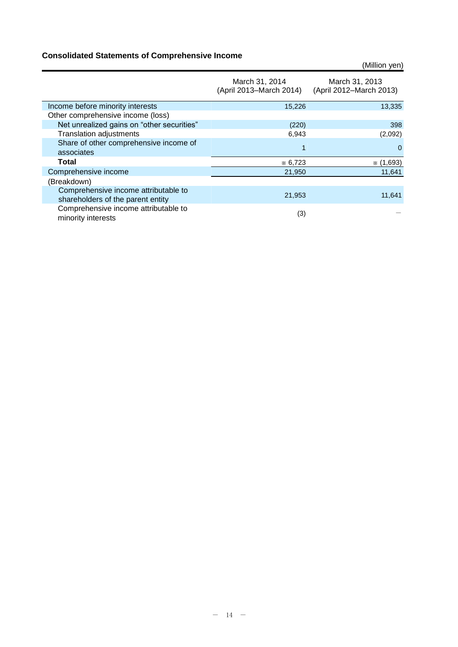## **Consolidated Statements of Comprehensive Income**

|                                                                           |                                           | (Million yen)                             |
|---------------------------------------------------------------------------|-------------------------------------------|-------------------------------------------|
|                                                                           | March 31, 2014<br>(April 2013–March 2014) | March 31, 2013<br>(April 2012-March 2013) |
| Income before minority interests                                          | 15,226                                    | 13,335                                    |
| Other comprehensive income (loss)                                         |                                           |                                           |
| Net unrealized gains on "other securities"                                | (220)                                     | 398                                       |
| <b>Translation adjustments</b>                                            | 6,943                                     | (2,092)                                   |
| Share of other comprehensive income of<br>associates                      |                                           | $\Omega$                                  |
| Total                                                                     | $*6,723$                                  | $*(1,693)$                                |
| Comprehensive income                                                      | 21,950                                    | 11,641                                    |
| (Breakdown)                                                               |                                           |                                           |
| Comprehensive income attributable to<br>shareholders of the parent entity | 21,953                                    | 11,641                                    |
| Comprehensive income attributable to<br>minority interests                | (3)                                       |                                           |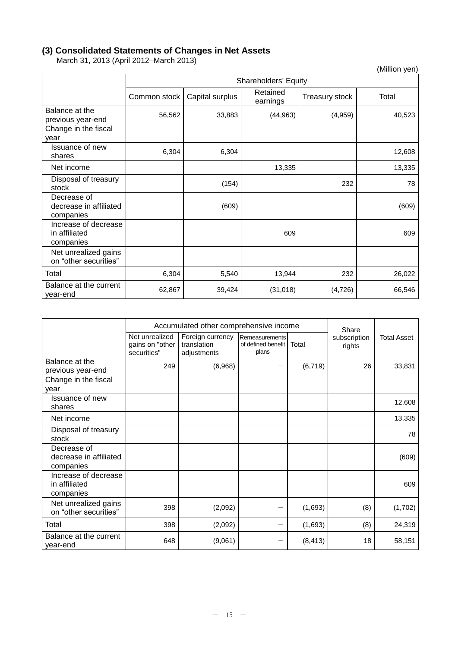## **(3) Consolidated Statements of Changes in Net Assets**

March 31, 2013 (April 2012–March 2013)

| $\ldots$ $\ldots$ $\ldots$ $\ldots$ $\ldots$       |              |                      |                      |                | (Million yen) |  |  |
|----------------------------------------------------|--------------|----------------------|----------------------|----------------|---------------|--|--|
|                                                    |              | Shareholders' Equity |                      |                |               |  |  |
|                                                    | Common stock | Capital surplus      | Retained<br>earnings | Treasury stock | Total         |  |  |
| Balance at the<br>previous year-end                | 56,562       | 33,883               | (44, 963)            | (4,959)        | 40,523        |  |  |
| Change in the fiscal<br>year                       |              |                      |                      |                |               |  |  |
| <b>Issuance of new</b><br>shares                   | 6,304        | 6,304                |                      |                | 12,608        |  |  |
| Net income                                         |              |                      | 13,335               |                | 13,335        |  |  |
| Disposal of treasury<br>stock                      |              | (154)                |                      | 232            | 78            |  |  |
| Decrease of<br>decrease in affiliated<br>companies |              | (609)                |                      |                | (609)         |  |  |
| Increase of decrease<br>in affiliated<br>companies |              |                      | 609                  |                | 609           |  |  |
| Net unrealized gains<br>on "other securities"      |              |                      |                      |                |               |  |  |
| Total                                              | 6,304        | 5,540                | 13,944               | 232            | 26,022        |  |  |
| Balance at the current<br>year-end                 | 62,867       | 39,424               | (31, 018)            | (4, 726)       | 66,546        |  |  |

|                                                    |                                                  | Accumulated other comprehensive income         | Share                                         |          |                        |                    |
|----------------------------------------------------|--------------------------------------------------|------------------------------------------------|-----------------------------------------------|----------|------------------------|--------------------|
|                                                    | Net unrealized<br>gains on "other<br>securities" | Foreign currency<br>translation<br>adjustments | Remeasurements<br>of defined benefit<br>plans | Total    | subscription<br>rights | <b>Total Asset</b> |
| Balance at the<br>previous year-end                | 249                                              | (6,968)                                        |                                               | (6, 719) | 26                     | 33,831             |
| Change in the fiscal<br>vear                       |                                                  |                                                |                                               |          |                        |                    |
| Issuance of new<br>shares                          |                                                  |                                                |                                               |          |                        | 12,608             |
| Net income                                         |                                                  |                                                |                                               |          |                        | 13,335             |
| Disposal of treasury<br>stock                      |                                                  |                                                |                                               |          |                        | 78                 |
| Decrease of<br>decrease in affiliated<br>companies |                                                  |                                                |                                               |          |                        | (609)              |
| Increase of decrease<br>in affiliated<br>companies |                                                  |                                                |                                               |          |                        | 609                |
| Net unrealized gains<br>on "other securities"      | 398                                              | (2,092)                                        |                                               | (1,693)  | (8)                    | (1,702)            |
| Total                                              | 398                                              | (2,092)                                        |                                               | (1,693)  | (8)                    | 24,319             |
| Balance at the current<br>year-end                 | 648                                              | (9,061)                                        |                                               | (8, 413) | 18                     | 58,151             |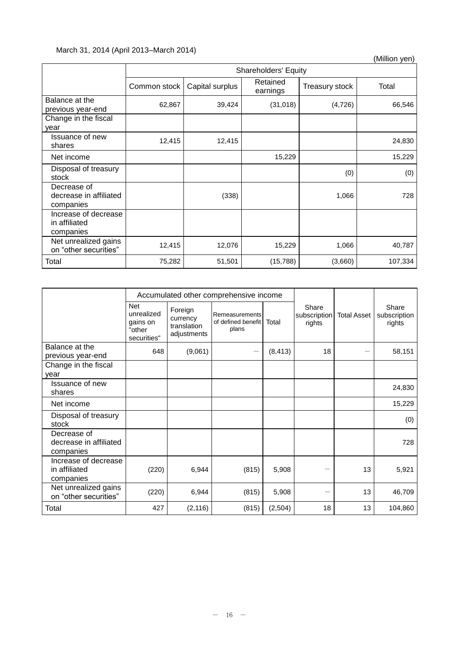## March 31, 2014 (April 2013–March 2014)

(Million yen)

|                                                    | <b>Shareholders' Equity</b> |                 |                      |                |         |  |
|----------------------------------------------------|-----------------------------|-----------------|----------------------|----------------|---------|--|
|                                                    | Common stock                | Capital surplus | Retained<br>earnings | Treasury stock | Total   |  |
| Balance at the<br>previous year-end                | 62,867                      | 39,424          | (31, 018)            | (4, 726)       | 66,546  |  |
| Change in the fiscal<br>year                       |                             |                 |                      |                |         |  |
| <b>Issuance of new</b><br>shares                   | 12,415                      | 12,415          |                      |                | 24,830  |  |
| Net income                                         |                             |                 | 15,229               |                | 15,229  |  |
| Disposal of treasury<br>stock                      |                             |                 |                      | (0)            | (0)     |  |
| Decrease of<br>decrease in affiliated<br>companies |                             | (338)           |                      | 1,066          | 728     |  |
| Increase of decrease<br>in affiliated<br>companies |                             |                 |                      |                |         |  |
| Net unrealized gains<br>on "other securities"      | 12,415                      | 12,076          | 15,229               | 1,066          | 40,787  |  |
| Total                                              | 75,282                      | 51,501          | (15, 788)            | (3,660)        | 107,334 |  |

|                                                    |                                                               |                                                   | Accumulated other comprehensive income        |          |                                 |                    |                                 |
|----------------------------------------------------|---------------------------------------------------------------|---------------------------------------------------|-----------------------------------------------|----------|---------------------------------|--------------------|---------------------------------|
|                                                    | <b>Net</b><br>unrealized<br>gains on<br>"other<br>securities" | Foreign<br>currency<br>translation<br>adjustments | Remeasurements<br>of defined benefit<br>plans | Total    | Share<br>subscription<br>rights | <b>Total Asset</b> | Share<br>subscription<br>rights |
| Balance at the<br>previous year-end                | 648                                                           | (9,061)                                           |                                               | (8, 413) | 18                              |                    | 58,151                          |
| Change in the fiscal<br>year                       |                                                               |                                                   |                                               |          |                                 |                    |                                 |
| Issuance of new<br>shares                          |                                                               |                                                   |                                               |          |                                 |                    | 24,830                          |
| Net income                                         |                                                               |                                                   |                                               |          |                                 |                    | 15,229                          |
| Disposal of treasury<br>stock                      |                                                               |                                                   |                                               |          |                                 |                    | (0)                             |
| Decrease of<br>decrease in affiliated<br>companies |                                                               |                                                   |                                               |          |                                 |                    | 728                             |
| Increase of decrease<br>in affiliated<br>companies | (220)                                                         | 6,944                                             | (815)                                         | 5,908    |                                 | 13                 | 5,921                           |
| Net unrealized gains<br>on "other securities"      | (220)                                                         | 6,944                                             | (815)                                         | 5,908    |                                 | 13                 | 46,709                          |
| Total                                              | 427                                                           | (2, 116)                                          | (815)                                         | (2,504)  | 18                              | 13                 | 104,860                         |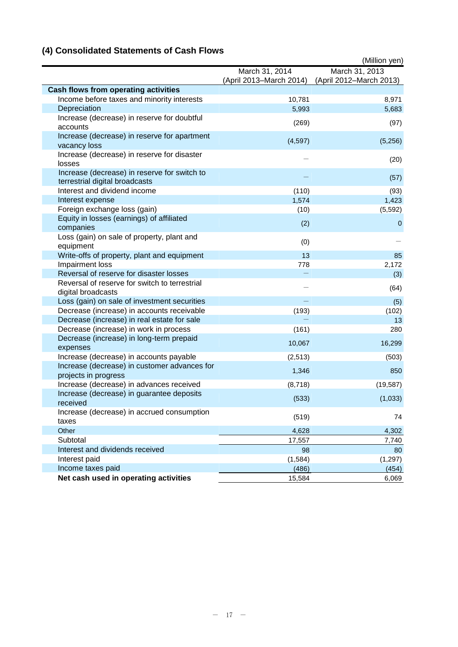# **(4) Consolidated Statements of Cash Flows**

|                                                                                |                         | (Million yen)           |
|--------------------------------------------------------------------------------|-------------------------|-------------------------|
|                                                                                | March 31, 2014          | March 31, 2013          |
|                                                                                | (April 2013-March 2014) | (April 2012-March 2013) |
| <b>Cash flows from operating activities</b>                                    |                         |                         |
| Income before taxes and minority interests                                     | 10,781                  | 8,971                   |
| Depreciation                                                                   | 5,993                   | 5,683                   |
| Increase (decrease) in reserve for doubtful<br>accounts                        | (269)                   | (97)                    |
| Increase (decrease) in reserve for apartment<br>vacancy loss                   | (4,597)                 | (5,256)                 |
| Increase (decrease) in reserve for disaster<br>losses                          |                         | (20)                    |
| Increase (decrease) in reserve for switch to<br>terrestrial digital broadcasts |                         | (57)                    |
| Interest and dividend income                                                   | (110)                   | (93)                    |
| Interest expense                                                               | 1,574                   | 1,423                   |
| Foreign exchange loss (gain)                                                   | (10)                    | (5, 592)                |
| Equity in losses (earnings) of affiliated<br>companies                         | (2)                     | $\mathbf 0$             |
| Loss (gain) on sale of property, plant and<br>equipment                        | (0)                     |                         |
| Write-offs of property, plant and equipment                                    | 13                      | 85                      |
| Impairment loss                                                                | 778                     | 2,172                   |
| Reversal of reserve for disaster losses                                        |                         | (3)                     |
| Reversal of reserve for switch to terrestrial<br>digital broadcasts            |                         | (64)                    |
| Loss (gain) on sale of investment securities                                   |                         | (5)                     |
| Decrease (increase) in accounts receivable                                     | (193)                   | (102)                   |
| Decrease (increase) in real estate for sale                                    |                         | 13                      |
| Decrease (increase) in work in process                                         | (161)                   | 280                     |
| Decrease (increase) in long-term prepaid<br>expenses                           | 10,067                  | 16,299                  |
| Increase (decrease) in accounts payable                                        | (2, 513)                | (503)                   |
| Increase (decrease) in customer advances for<br>projects in progress           | 1,346                   | 850                     |
| Increase (decrease) in advances received                                       | (8,718)                 | (19, 587)               |
| Increase (decrease) in guarantee deposits<br>received                          | (533)                   | (1,033)                 |
| Increase (decrease) in accrued consumption<br>taxes                            | (519)                   | 74                      |
| Other                                                                          | 4,628                   | 4,302                   |
| Subtotal                                                                       | 17,557                  | 7,740                   |
| Interest and dividends received                                                | 98                      | 80                      |
| Interest paid                                                                  | (1,584)                 | (1, 297)                |
| Income taxes paid                                                              | (486)                   | (454)                   |
| Net cash used in operating activities                                          | 15,584                  | 6,069                   |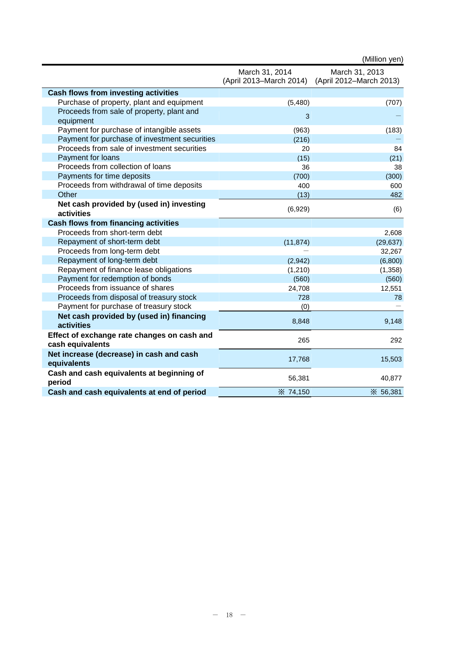|                                                                 |                                           | (Million yen)                             |
|-----------------------------------------------------------------|-------------------------------------------|-------------------------------------------|
|                                                                 | March 31, 2014<br>(April 2013-March 2014) | March 31, 2013<br>(April 2012-March 2013) |
| <b>Cash flows from investing activities</b>                     |                                           |                                           |
| Purchase of property, plant and equipment                       | (5,480)                                   | (707)                                     |
| Proceeds from sale of property, plant and<br>equipment          | 3                                         |                                           |
| Payment for purchase of intangible assets                       | (963)                                     | (183)                                     |
| Payment for purchase of investment securities                   | (216)                                     |                                           |
| Proceeds from sale of investment securities                     | 20                                        | 84                                        |
| Payment for loans                                               | (15)                                      | (21)                                      |
| Proceeds from collection of loans                               | 36                                        | 38                                        |
| Payments for time deposits                                      | (700)                                     | (300)                                     |
| Proceeds from withdrawal of time deposits                       | 400                                       | 600                                       |
| Other                                                           | (13)                                      | 482                                       |
| Net cash provided by (used in) investing<br>activities          | (6,929)                                   | (6)                                       |
| <b>Cash flows from financing activities</b>                     |                                           |                                           |
| Proceeds from short-term debt                                   |                                           | 2,608                                     |
| Repayment of short-term debt                                    | (11, 874)                                 | (29, 637)                                 |
| Proceeds from long-term debt                                    |                                           | 32,267                                    |
| Repayment of long-term debt                                     | (2,942)                                   | (6,800)                                   |
| Repayment of finance lease obligations                          | (1, 210)                                  | (1, 358)                                  |
| Payment for redemption of bonds                                 | (560)                                     | (560)                                     |
| Proceeds from issuance of shares                                | 24,708                                    | 12,551                                    |
| Proceeds from disposal of treasury stock                        | 728                                       | 78                                        |
| Payment for purchase of treasury stock                          | (0)                                       |                                           |
| Net cash provided by (used in) financing<br>activities          | 8,848                                     | 9,148                                     |
| Effect of exchange rate changes on cash and<br>cash equivalents | 265                                       | 292                                       |
| Net increase (decrease) in cash and cash<br>equivalents         | 17,768                                    | 15,503                                    |
| Cash and cash equivalents at beginning of<br>period             | 56,381                                    | 40,877                                    |
| Cash and cash equivalents at end of period                      | <b>X</b> 74,150                           | <b>X</b> 56,381                           |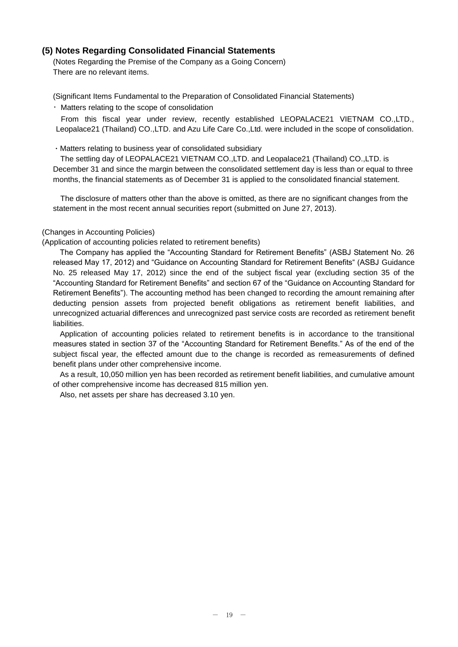## **(5) Notes Regarding Consolidated Financial Statements**

(Notes Regarding the Premise of the Company as a Going Concern) There are no relevant items.

(Significant Items Fundamental to the Preparation of Consolidated Financial Statements)

・Matters relating to the scope of consolidation

From this fiscal year under review, recently established LEOPALACE21 VIETNAM CO.,LTD., Leopalace21 (Thailand) CO.,LTD. and Azu Life Care Co.,Ltd. were included in the scope of consolidation.

・Matters relating to business year of consolidated subsidiary

The settling day of LEOPALACE21 VIETNAM CO.,LTD. and Leopalace21 (Thailand) CO.,LTD. is December 31 and since the margin between the consolidated settlement day is less than or equal to three months, the financial statements as of December 31 is applied to the consolidated financial statement.

The disclosure of matters other than the above is omitted, as there are no significant changes from the statement in the most recent annual securities report (submitted on June 27, 2013).

### (Changes in Accounting Policies)

(Application of accounting policies related to retirement benefits)

The Company has applied the "Accounting Standard for Retirement Benefits" (ASBJ Statement No. 26 released May 17, 2012) and "Guidance on Accounting Standard for Retirement Benefits" (ASBJ Guidance No. 25 released May 17, 2012) since the end of the subject fiscal year (excluding section 35 of the "Accounting Standard for Retirement Benefits" and section 67 of the "Guidance on Accounting Standard for Retirement Benefits"). The accounting method has been changed to recording the amount remaining after deducting pension assets from projected benefit obligations as retirement benefit liabilities, and unrecognized actuarial differences and unrecognized past service costs are recorded as retirement benefit liabilities.

Application of accounting policies related to retirement benefits is in accordance to the transitional measures stated in section 37 of the "Accounting Standard for Retirement Benefits." As of the end of the subject fiscal year, the effected amount due to the change is recorded as remeasurements of defined benefit plans under other comprehensive income.

As a result, 10,050 million yen has been recorded as retirement benefit liabilities, and cumulative amount of other comprehensive income has decreased 815 million yen.

Also, net assets per share has decreased 3.10 yen.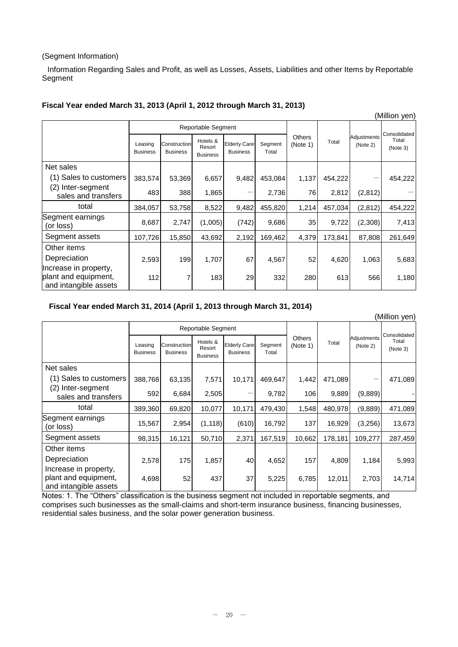## (Segment Information)

Information Regarding Sales and Profit, as well as Losses, Assets, Liabilities and other Items by Reportable Segment

|                                                                        |                            |                                 |                                       |                                        |                  |                    |         |                         | (Million yen)     |
|------------------------------------------------------------------------|----------------------------|---------------------------------|---------------------------------------|----------------------------------------|------------------|--------------------|---------|-------------------------|-------------------|
|                                                                        |                            |                                 | Reportable Segment                    |                                        |                  |                    |         | Consolidated            |                   |
|                                                                        | Leasing<br><b>Business</b> | Construction<br><b>Business</b> | Hotels &<br>Resort<br><b>Business</b> | <b>Elderly Care</b><br><b>Business</b> | Segment<br>Total | Others<br>(Note 1) | Total   | Adjustments<br>(Note 2) | Total<br>(Note 3) |
| Net sales                                                              |                            |                                 |                                       |                                        |                  |                    |         |                         |                   |
| (1) Sales to customers                                                 | 383,574                    | 53,369                          | 6,657                                 | 9,482                                  | 453,084          | 1,137              | 454,222 |                         | 454,222           |
| (2) Inter-segment<br>sales and transfers                               | 483                        | 388                             | 1,865                                 |                                        | 2,736            | 76                 | 2,812   | (2,812)                 |                   |
| total                                                                  | 384,057                    | 53,758                          | 8,522                                 | 9,482                                  | 455,820          | 1,214              | 457,034 | (2, 812)                | 454,222           |
| Segment earnings<br>(or loss)                                          | 8,687                      | 2,747                           | (1,005)                               | (742)                                  | 9,686            | 35                 | 9,722   | (2,308)                 | 7,413             |
| Segment assets                                                         | 107,726                    | 15,850                          | 43,692                                | 2,192                                  | 169,462          | 4,379              | 173,841 | 87,808                  | 261,649           |
| Other items                                                            |                            |                                 |                                       |                                        |                  |                    |         |                         |                   |
| Depreciation                                                           | 2,593                      | 199                             | 1,707                                 | 67                                     | 4,567            | 52                 | 4,620   | 1,063                   | 5,683             |
| Increase in property,<br>plant and equipment,<br>and intangible assets | 112                        | 7                               | 183                                   | 29                                     | 332              | 280                | 613     | 566                     | 1,180             |

## **Fiscal Year ended March 31, 2013 (April 1, 2012 through March 31, 2013)**

## **Fiscal Year ended March 31, 2014 (April 1, 2013 through March 31, 2014)**

|                                                                        |                            |                                 |                                       |                                        |                  |                    |         |                         | (Million yen)                     |
|------------------------------------------------------------------------|----------------------------|---------------------------------|---------------------------------------|----------------------------------------|------------------|--------------------|---------|-------------------------|-----------------------------------|
|                                                                        |                            |                                 | Reportable Segment                    |                                        |                  |                    |         |                         |                                   |
|                                                                        | Leasing<br><b>Business</b> | Construction<br><b>Business</b> | Hotels &<br>Resort<br><b>Business</b> | <b>Elderly Care</b><br><b>Business</b> | Segment<br>Total | Others<br>(Note 1) | Total   | Adjustments<br>(Note 2) | Consolidated<br>Total<br>(Note 3) |
| Net sales                                                              |                            |                                 |                                       |                                        |                  |                    |         |                         |                                   |
| (1) Sales to customers                                                 | 388,768                    | 63,135                          | 7,571                                 | 10,171                                 | 469,647          | 1,442              | 471,089 |                         | 471,089                           |
| (2) Inter-segment<br>sales and transfers                               | 592                        | 6,684                           | 2,505                                 |                                        | 9,782            | 106                | 9,889   | (9,889)                 |                                   |
| total                                                                  | 389,360                    | 69,820                          | 10,077                                | 10,171                                 | 479,430          | 1,548              | 480,978 | (9,889)                 | 471,089                           |
| Segment earnings<br>(or loss)                                          | 15,567                     | 2,954                           | (1, 118)                              | (610)                                  | 16,792           | 137                | 16,929  | (3,256)                 | 13,673                            |
| Segment assets                                                         | 98,315                     | 16,121                          | 50,710                                | 2,371                                  | 167,519          | 10,662             | 178,181 | 109,277                 | 287,459                           |
| Other items                                                            |                            |                                 |                                       |                                        |                  |                    |         |                         |                                   |
| Depreciation                                                           | 2,578                      | 175                             | 1,857                                 | 40                                     | 4,652            | 157                | 4,809   | 1,184                   | 5,993                             |
| Increase in property,<br>plant and equipment,<br>and intangible assets | 4,698                      | 52                              | 437                                   | 37                                     | 5,225            | 6,785              | 12,011  | 2,703                   | 14,714                            |

Notes: 1. The "Others" classification is the business segment not included in reportable segments, and comprises such businesses as the small-claims and short-term insurance business, financing businesses, residential sales business, and the solar power generation business.